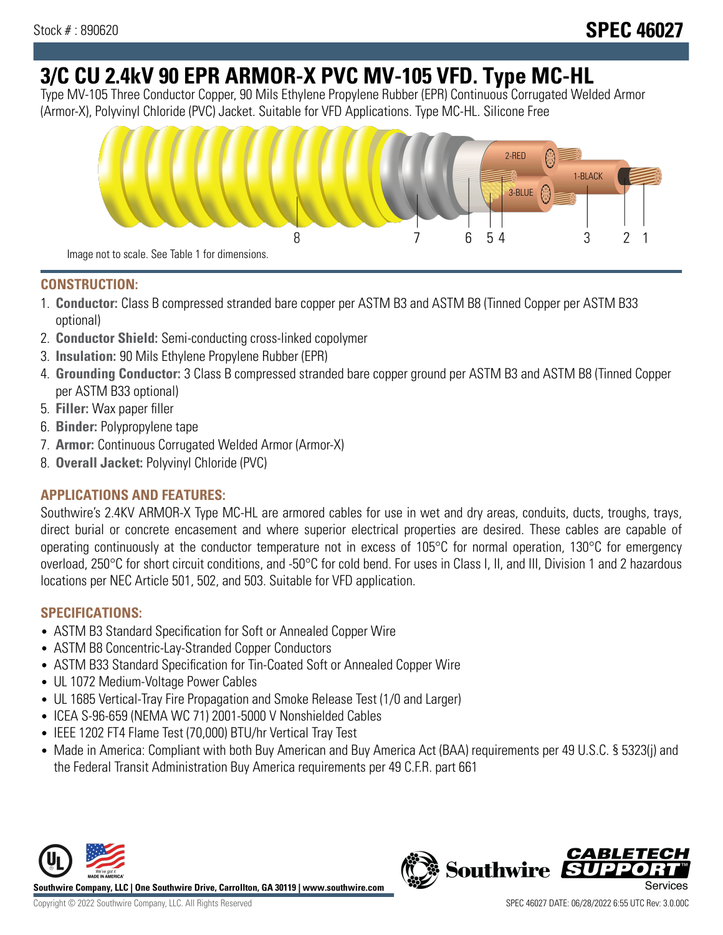# **3/C CU 2.4kV 90 EPR ARMOR-X PVC MV-105 VFD. Type MC-HL**

Type MV-105 Three Conductor Copper, 90 Mils Ethylene Propylene Rubber (EPR) Continuous Corrugated Welded Armor (Armor-X), Polyvinyl Chloride (PVC) Jacket. Suitable for VFD Applications. Type MC-HL. Silicone Free



### **CONSTRUCTION:**

- 1. **Conductor:** Class B compressed stranded bare copper per ASTM B3 and ASTM B8 (Tinned Copper per ASTM B33 optional)
- 2. **Conductor Shield:** Semi-conducting cross-linked copolymer
- 3. **Insulation:** 90 Mils Ethylene Propylene Rubber (EPR)
- 4. **Grounding Conductor:** 3 Class B compressed stranded bare copper ground per ASTM B3 and ASTM B8 (Tinned Copper per ASTM B33 optional)
- 5. **Filler:** Wax paper filler
- 6. **Binder:** Polypropylene tape
- 7. **Armor:** Continuous Corrugated Welded Armor (Armor-X)
- 8. **Overall Jacket:** Polyvinyl Chloride (PVC)

# **APPLICATIONS AND FEATURES:**

Southwire's 2.4KV ARMOR-X Type MC-HL are armored cables for use in wet and dry areas, conduits, ducts, troughs, trays, direct burial or concrete encasement and where superior electrical properties are desired. These cables are capable of operating continuously at the conductor temperature not in excess of 105°C for normal operation, 130°C for emergency overload, 250°C for short circuit conditions, and -50°C for cold bend. For uses in Class I, II, and III, Division 1 and 2 hazardous locations per NEC Article 501, 502, and 503. Suitable for VFD application.

## **SPECIFICATIONS:**

- ASTM B3 Standard Specification for Soft or Annealed Copper Wire
- ASTM B8 Concentric-Lay-Stranded Copper Conductors
- ASTM B33 Standard Specification for Tin-Coated Soft or Annealed Copper Wire
- UL 1072 Medium-Voltage Power Cables
- UL 1685 Vertical-Tray Fire Propagation and Smoke Release Test (1/0 and Larger)
- ICEA S-96-659 (NEMA WC 71) 2001-5000 V Nonshielded Cables
- IEEE 1202 FT4 Flame Test (70,000) BTU/hr Vertical Tray Test
- Made in America: Compliant with both Buy American and Buy America Act (BAA) requirements per 49 U.S.C. § 5323(j) and the Federal Transit Administration Buy America requirements per 49 C.F.R. part 661